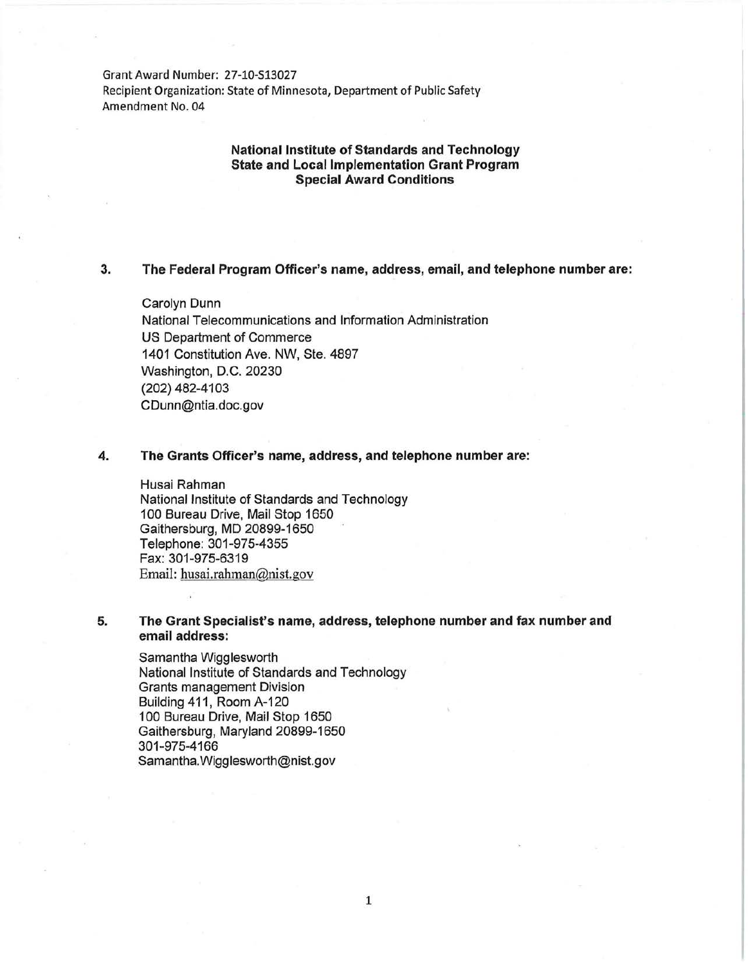Grant Award Number: 27-10-Sl3027 Recipient Organization: State of Minnesota, Department of Public Safety Amendment No. 04

## **National Institute of Standards and Technology State and Local Implementation Grant Program Special Award Conditions**

## **3. The Federal Program Officer's name, address, email, and telephone number are:**

Carolyn Dunn National Telecommunications and Information Administration US Department of Commerce 1401 Constitution Ave. NW, Ste. 4897 Washington, D.C. 20230 (202) 482-4103 CDunn@ntia.doc.gov

#### **4. The Grants Officer's name, address, and telephone number are:**

Husai Rahman National Institute of Standards and Technology 1 00 Bureau Drive, Mail Stop 1650 Gaithersburg, MD 20899-1650 Telephone: 301-975-4355 Fax: 301-975-6319 Email: husai.rahman@nist.gov

## **5. The Grant Specialist's name, address, telephone number and fax number and email address:**

Samantha Wigglesworth National Institute of Standards and Technology Grants management Division Building 411, Room A-120 1 00 Bureau Drive, Mail Stop 1650 Gaithersburg, Maryland 20899-1650 301-975-4166 Samantha. Wigglesworth@nist.gov